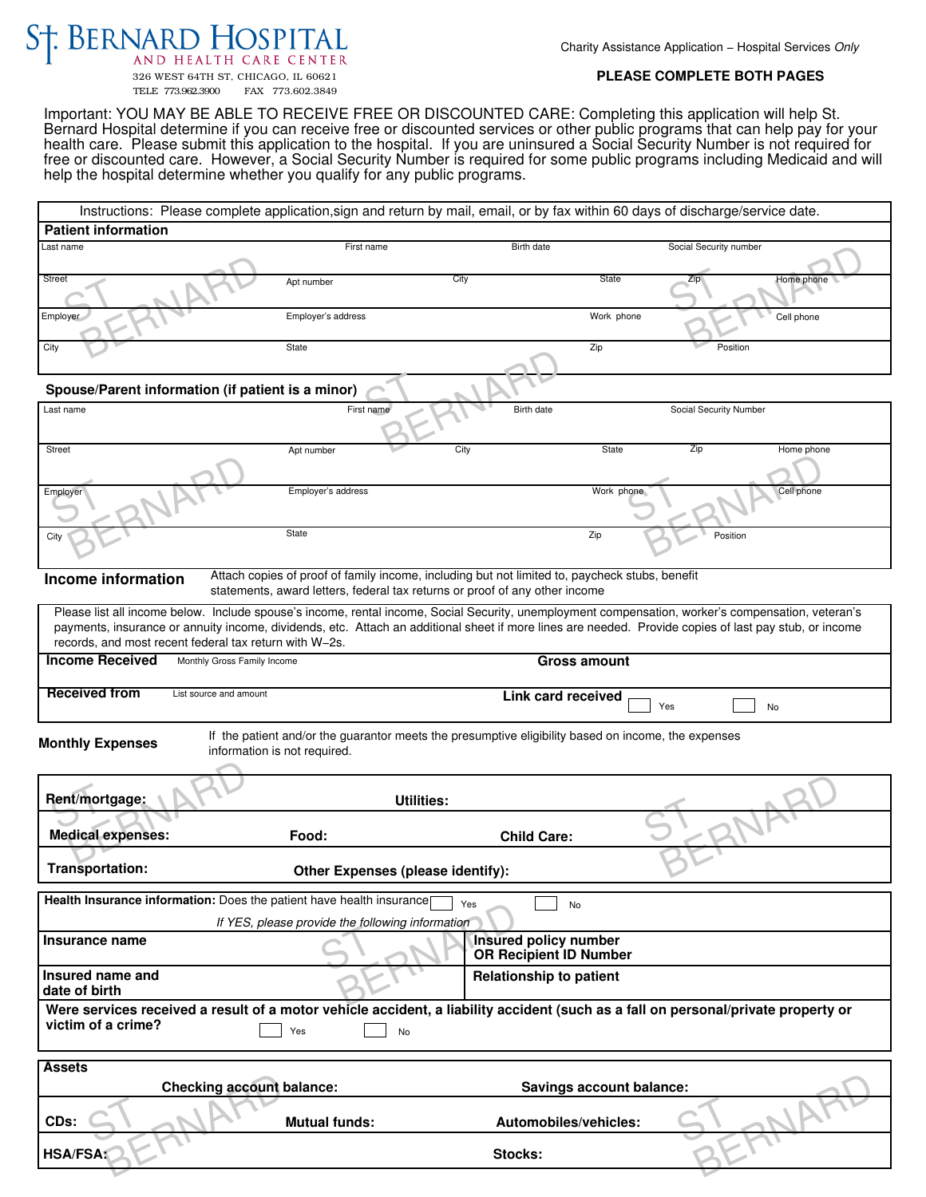## ST. BERNARD HOSPITAL

Charity Assistance Application - Hospital Services Only

326 WEST 64TH ST, CHICAGO, IL 60621 FAX 773.602.3849

## **PLEASE COMPLETE BOTH PAGES**

Important: YOU MAY BE ABLE TO RECEIVE FREE OR DISCOUNTED CARE: Completing this application will help St. Bernard Hospital determine if you can receive free or discounted services or other public programs that can help pay for your health care. Please submit this application to the hospital. If you are uninsured a Social Security Number is not required for free or discounted care. However, a Social Security Number is required for some public programs including Medicaid and will help the hospital determine whether you qualify for any public programs.

| Instructions: Please complete application, sign and return by mail, email, or by fax within 60 days of discharge/service date.                                                                                                                                                                                                                                         |                                  |                                                               |  |  |
|------------------------------------------------------------------------------------------------------------------------------------------------------------------------------------------------------------------------------------------------------------------------------------------------------------------------------------------------------------------------|----------------------------------|---------------------------------------------------------------|--|--|
| <b>Patient information</b>                                                                                                                                                                                                                                                                                                                                             |                                  |                                                               |  |  |
| Last name                                                                                                                                                                                                                                                                                                                                                              | First name                       | Social Security number<br>Birth date                          |  |  |
|                                                                                                                                                                                                                                                                                                                                                                        |                                  |                                                               |  |  |
| Street                                                                                                                                                                                                                                                                                                                                                                 | Apt number                       | City<br>State<br>Zip<br>Home phone                            |  |  |
| Employer                                                                                                                                                                                                                                                                                                                                                               | Employer's address               | Work phone<br>Cell phone                                      |  |  |
| City                                                                                                                                                                                                                                                                                                                                                                   | State                            | Zip<br>Position                                               |  |  |
| Spouse/Parent information (if patient is a minor)                                                                                                                                                                                                                                                                                                                      |                                  |                                                               |  |  |
| Last name                                                                                                                                                                                                                                                                                                                                                              | First name                       | Birth date<br>Social Security Number                          |  |  |
| Street                                                                                                                                                                                                                                                                                                                                                                 |                                  | City<br><b>State</b><br>Zip                                   |  |  |
|                                                                                                                                                                                                                                                                                                                                                                        | Apt number                       | Home phone                                                    |  |  |
|                                                                                                                                                                                                                                                                                                                                                                        |                                  |                                                               |  |  |
| Employer                                                                                                                                                                                                                                                                                                                                                               | Employer's address               | Work phone<br>Cell phone                                      |  |  |
| City                                                                                                                                                                                                                                                                                                                                                                   | State                            | Zip<br>Position                                               |  |  |
| Attach copies of proof of family income, including but not limited to, paycheck stubs, benefit<br>Income information<br>statements, award letters, federal tax returns or proof of any other income                                                                                                                                                                    |                                  |                                                               |  |  |
| Please list all income below. Include spouse's income, rental income, Social Security, unemployment compensation, worker's compensation, veteran's<br>payments, insurance or annuity income, dividends, etc. Attach an additional sheet if more lines are needed. Provide copies of last pay stub, or income<br>records, and most recent federal tax return with W-2s. |                                  |                                                               |  |  |
| <b>Income Received</b>                                                                                                                                                                                                                                                                                                                                                 | Monthly Gross Family Income      | <b>Gross amount</b>                                           |  |  |
|                                                                                                                                                                                                                                                                                                                                                                        |                                  |                                                               |  |  |
| <b>Received from</b>                                                                                                                                                                                                                                                                                                                                                   | List source and amount           | Link card received<br>No<br>Yes                               |  |  |
| If the patient and/or the guarantor meets the presumptive eligibility based on income, the expenses<br><b>Monthly Expenses</b><br>information is not required.                                                                                                                                                                                                         |                                  |                                                               |  |  |
| Rent/mortgage:                                                                                                                                                                                                                                                                                                                                                         | <b>Utilities:</b>                |                                                               |  |  |
|                                                                                                                                                                                                                                                                                                                                                                        |                                  |                                                               |  |  |
| <b>Medical expenses:</b>                                                                                                                                                                                                                                                                                                                                               | Food:                            | <b>Child Care:</b>                                            |  |  |
| Transportation:<br>Other Expenses (please identify):                                                                                                                                                                                                                                                                                                                   |                                  |                                                               |  |  |
| Health Insurance information: Does the patient have health insurance<br>Yes<br>No                                                                                                                                                                                                                                                                                      |                                  |                                                               |  |  |
| If YES, please provide the following information                                                                                                                                                                                                                                                                                                                       |                                  |                                                               |  |  |
| Insurance name                                                                                                                                                                                                                                                                                                                                                         |                                  | <b>Insured policy number</b><br><b>OR Recipient ID Number</b> |  |  |
| Insured name and<br>date of birth                                                                                                                                                                                                                                                                                                                                      |                                  | <b>Relationship to patient</b>                                |  |  |
| Were services received a result of a motor vehicle accident, a liability accident (such as a fall on personal/private property or<br>victim of a crime?<br>Yes<br>No                                                                                                                                                                                                   |                                  |                                                               |  |  |
| <b>Assets</b>                                                                                                                                                                                                                                                                                                                                                          |                                  |                                                               |  |  |
|                                                                                                                                                                                                                                                                                                                                                                        | <b>Checking account balance:</b> | Savings account balance:                                      |  |  |
| CDs:                                                                                                                                                                                                                                                                                                                                                                   | <b>Mutual funds:</b>             | Automobiles/vehicles:                                         |  |  |
|                                                                                                                                                                                                                                                                                                                                                                        |                                  |                                                               |  |  |
| <b>HSA/FSA:</b>                                                                                                                                                                                                                                                                                                                                                        |                                  | Stocks:                                                       |  |  |